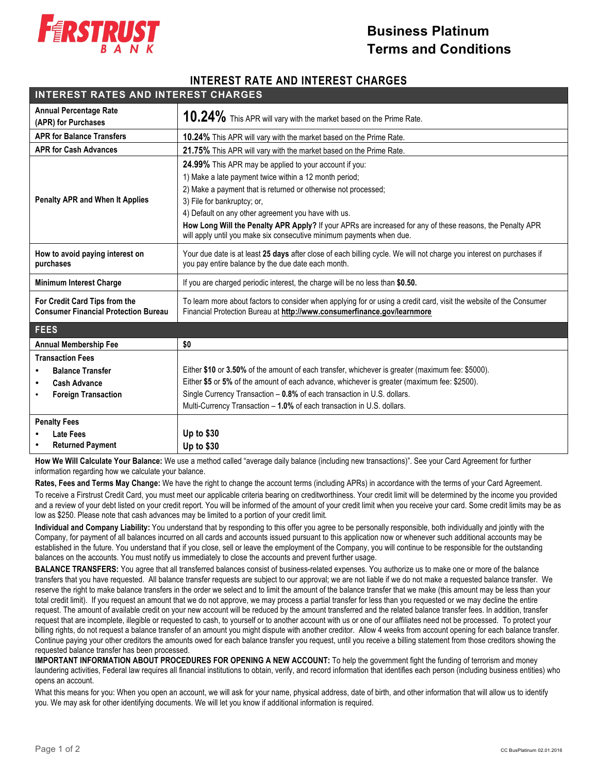

## **Business Platinum Terms and Conditions**

## **INTEREST RATE AND INTEREST CHARGES**

| <b>INTEREST RATES AND INTEREST CHARGES</b>                                                              |                                                                                                                                                                                                                                                                                                                                                                                                                                                                      |
|---------------------------------------------------------------------------------------------------------|----------------------------------------------------------------------------------------------------------------------------------------------------------------------------------------------------------------------------------------------------------------------------------------------------------------------------------------------------------------------------------------------------------------------------------------------------------------------|
| <b>Annual Percentage Rate</b><br>(APR) for Purchases                                                    | 10.24% This APR will vary with the market based on the Prime Rate.                                                                                                                                                                                                                                                                                                                                                                                                   |
| <b>APR for Balance Transfers</b>                                                                        | 10.24% This APR will vary with the market based on the Prime Rate.                                                                                                                                                                                                                                                                                                                                                                                                   |
| <b>APR for Cash Advances</b>                                                                            | 21.75% This APR will vary with the market based on the Prime Rate.                                                                                                                                                                                                                                                                                                                                                                                                   |
| <b>Penalty APR and When It Applies</b>                                                                  | <b>24.99%</b> This APR may be applied to your account if you:<br>1) Make a late payment twice within a 12 month period;<br>2) Make a payment that is returned or otherwise not processed;<br>3) File for bankruptcy; or,<br>4) Default on any other agreement you have with us.<br>How Long Will the Penalty APR Apply? If your APRs are increased for any of these reasons, the Penalty APR<br>will apply until you make six consecutive minimum payments when due. |
| How to avoid paying interest on<br>purchases                                                            | Your due date is at least 25 days after close of each billing cycle. We will not charge you interest on purchases if<br>you pay entire balance by the due date each month.                                                                                                                                                                                                                                                                                           |
| <b>Minimum Interest Charge</b>                                                                          | If you are charged periodic interest, the charge will be no less than \$0.50.                                                                                                                                                                                                                                                                                                                                                                                        |
| For Credit Card Tips from the<br><b>Consumer Financial Protection Bureau</b>                            | To learn more about factors to consider when applying for or using a credit card, visit the website of the Consumer<br>Financial Protection Bureau at http://www.consumerfinance.gov/learnmore                                                                                                                                                                                                                                                                       |
| <b>FEES</b>                                                                                             |                                                                                                                                                                                                                                                                                                                                                                                                                                                                      |
| <b>Annual Membership Fee</b>                                                                            | \$0                                                                                                                                                                                                                                                                                                                                                                                                                                                                  |
| <b>Transaction Fees</b><br><b>Balance Transfer</b><br><b>Cash Advance</b><br><b>Foreign Transaction</b> | Either \$10 or 3.50% of the amount of each transfer, whichever is greater (maximum fee: \$5000).<br>Either \$5 or 5% of the amount of each advance, whichever is greater (maximum fee: \$2500).<br>Single Currency Transaction - 0.8% of each transaction in U.S. dollars.<br>Multi-Currency Transaction - 1.0% of each transaction in U.S. dollars.                                                                                                                 |
| <b>Penalty Fees</b><br>Late Fees<br><b>Returned Payment</b>                                             | Up to \$30<br>Up to \$30                                                                                                                                                                                                                                                                                                                                                                                                                                             |

 **How We Will Calculate Your Balance:** We use a method called "average daily balance (including new transactions)". See your Card Agreement for further information regarding how we calculate your balance.

**Rates, Fees and Terms May Change:** We have the right to change the account terms (including APRs) in accordance with the terms of your Card Agreement.

To receive a Firstrust Credit Card, you must meet our applicable criteria bearing on creditworthiness. Your credit limit will be determined by the income you provided and a review of your debt listed on your credit report. You will be informed of the amount of your credit limit when you receive your card. Some credit limits may be as low as \$250. Please note that cash advances may be limited to a portion of your credit limit.

**Individual and Company Liability:** You understand that by responding to this offer you agree to be personally responsible, both individually and jointly with the Company, for payment of all balances incurred on all cards and accounts issued pursuant to this application now or whenever such additional accounts may be established in the future. You understand that if you close, sell or leave the employment of the Company, you will continue to be responsible for the outstanding balances on the accounts. You must notify us immediately to close the accounts and prevent further usage.

**BALANCE TRANSFERS:** You agree that all transferred balances consist of business-related expenses. You authorize us to make one or more of the balance transfers that you have requested. All balance transfer requests are subject to our approval; we are not liable if we do not make a requested balance transfer. We reserve the right to make balance transfers in the order we select and to limit the amount of the balance transfer that we make (this amount may be less than your total credit limit). If you request an amount that we do not approve, we may process a partial transfer for less than you requested or we may decline the entire request. The amount of available credit on your new account will be reduced by the amount transferred and the related balance transfer fees. In addition, transfer request that are incomplete, illegible or requested to cash, to yourself or to another account with us or one of our affiliates need not be processed. To protect your billing rights, do not request a balance transfer of an amount you might dispute with another creditor. Allow 4 weeks from account opening for each balance transfer. Continue paying your other creditors the amounts owed for each balance transfer you request, until you receive a billing statement from those creditors showing the requested balance transfer has been processed.

**IMPORTANT INFORMATION ABOUT PROCEDURES FOR OPENING A NEW ACCOUNT:** To help the government fight the funding of terrorism and money laundering activities, Federal law requires all financial institutions to obtain, verify, and record information that identifies each person (including business entities) who opens an account.

What this means for you: When you open an account, we will ask for your name, physical address, date of birth, and other information that will allow us to identify you. We may ask for other identifying documents. We will let you know if additional information is required.